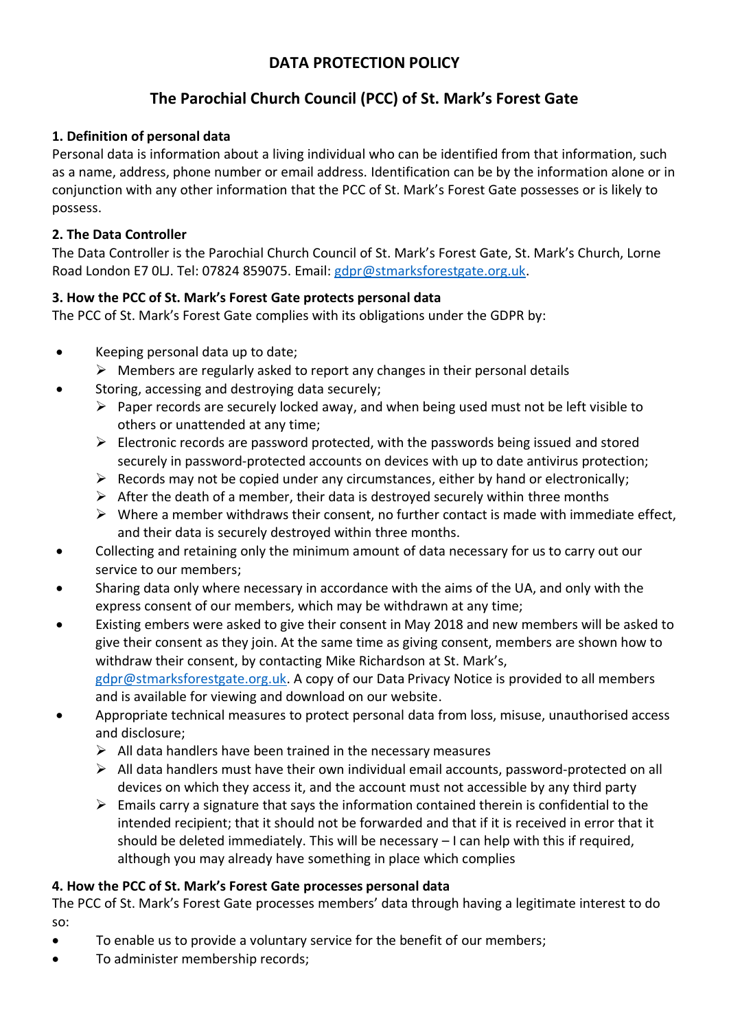# **DATA PROTECTION POLICY**

# **The Parochial Church Council (PCC) of St. Mark's Forest Gate**

#### **1. Definition of personal data**

Personal data is information about a living individual who can be identified from that information, such as a name, address, phone number or email address. Identification can be by the information alone or in conjunction with any other information that the PCC of St. Mark's Forest Gate possesses or is likely to possess.

### **2. The Data Controller**

The Data Controller is the Parochial Church Council of St. Mark's Forest Gate, St. Mark's Church, Lorne Road London E7 0LJ. Tel: 07824 859075. Email: [gdpr@stmarksforestgate.org.uk.](mailto:gdpr@stmarksforestgate.org.uk)

### **3. How the PCC of St. Mark's Forest Gate protects personal data**

The PCC of St. Mark's Forest Gate complies with its obligations under the GDPR by:

- Keeping personal data up to date;
	- $\triangleright$  Members are regularly asked to report any changes in their personal details
- Storing, accessing and destroying data securely;
	- ➢ Paper records are securely locked away, and when being used must not be left visible to others or unattended at any time;
	- $\triangleright$  Electronic records are password protected, with the passwords being issued and stored securely in password-protected accounts on devices with up to date antivirus protection;
	- $\triangleright$  Records may not be copied under any circumstances, either by hand or electronically;
	- $\triangleright$  After the death of a member, their data is destroyed securely within three months
	- ➢ Where a member withdraws their consent, no further contact is made with immediate effect, and their data is securely destroyed within three months.
- Collecting and retaining only the minimum amount of data necessary for us to carry out our service to our members;
- Sharing data only where necessary in accordance with the aims of the UA, and only with the express consent of our members, which may be withdrawn at any time;
- Existing embers were asked to give their consent in May 2018 and new members will be asked to give their consent as they join. At the same time as giving consent, members are shown how to withdraw their consent, by contacting Mike Richardson at St. Mark's, [gdpr@stmarksforestgate.org.uk.](mailto:gdpr@stmarksforestgate.org.uk) A copy of our Data Privacy Notice is provided to all members and is available for viewing and download on our website.
- Appropriate technical measures to protect personal data from loss, misuse, unauthorised access and disclosure;
	- $\triangleright$  All data handlers have been trained in the necessary measures
	- $\triangleright$  All data handlers must have their own individual email accounts, password-protected on all devices on which they access it, and the account must not accessible by any third party
	- $\triangleright$  Emails carry a signature that says the information contained therein is confidential to the intended recipient; that it should not be forwarded and that if it is received in error that it should be deleted immediately. This will be necessary – I can help with this if required, although you may already have something in place which complies

## **4. How the PCC of St. Mark's Forest Gate processes personal data**

The PCC of St. Mark's Forest Gate processes members' data through having a legitimate interest to do so:

- To enable us to provide a voluntary service for the benefit of our members;
- To administer membership records;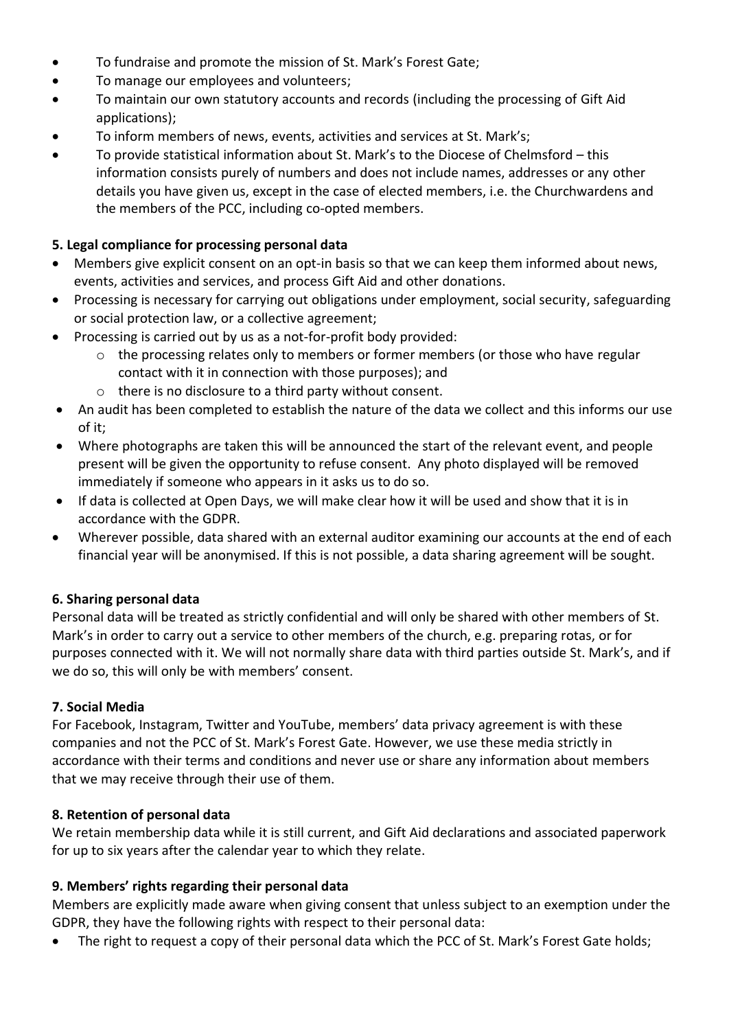- To fundraise and promote the mission of St. Mark's Forest Gate;
- To manage our employees and volunteers;
- To maintain our own statutory accounts and records (including the processing of Gift Aid applications);
- To inform members of news, events, activities and services at St. Mark's;
- To provide statistical information about St. Mark's to the Diocese of Chelmsford this information consists purely of numbers and does not include names, addresses or any other details you have given us, except in the case of elected members, i.e. the Churchwardens and the members of the PCC, including co-opted members.

### **5. Legal compliance for processing personal data**

- Members give explicit consent on an opt-in basis so that we can keep them informed about news, events, activities and services, and process Gift Aid and other donations.
- Processing is necessary for carrying out obligations under employment, social security, safeguarding or social protection law, or a collective agreement;
- Processing is carried out by us as a not-for-profit body provided:
	- $\circ$  the processing relates only to members or former members (or those who have regular contact with it in connection with those purposes); and
	- o there is no disclosure to a third party without consent.
- An audit has been completed to establish the nature of the data we collect and this informs our use of it;
- Where photographs are taken this will be announced the start of the relevant event, and people present will be given the opportunity to refuse consent. Any photo displayed will be removed immediately if someone who appears in it asks us to do so.
- If data is collected at Open Days, we will make clear how it will be used and show that it is in accordance with the GDPR.
- Wherever possible, data shared with an external auditor examining our accounts at the end of each financial year will be anonymised. If this is not possible, a data sharing agreement will be sought.

## **6. Sharing personal data**

Personal data will be treated as strictly confidential and will only be shared with other members of St. Mark's in order to carry out a service to other members of the church, e.g. preparing rotas, or for purposes connected with it. We will not normally share data with third parties outside St. Mark's, and if we do so, this will only be with members' consent.

## **7. Social Media**

For Facebook, Instagram, Twitter and YouTube, members' data privacy agreement is with these companies and not the PCC of St. Mark's Forest Gate. However, we use these media strictly in accordance with their terms and conditions and never use or share any information about members that we may receive through their use of them.

#### **8. Retention of personal data**

We retain membership data while it is still current, and Gift Aid declarations and associated paperwork for up to six years after the calendar year to which they relate.

#### **9. Members' rights regarding their personal data**

Members are explicitly made aware when giving consent that unless subject to an exemption under the GDPR, they have the following rights with respect to their personal data:

The right to request a copy of their personal data which the PCC of St. Mark's Forest Gate holds;